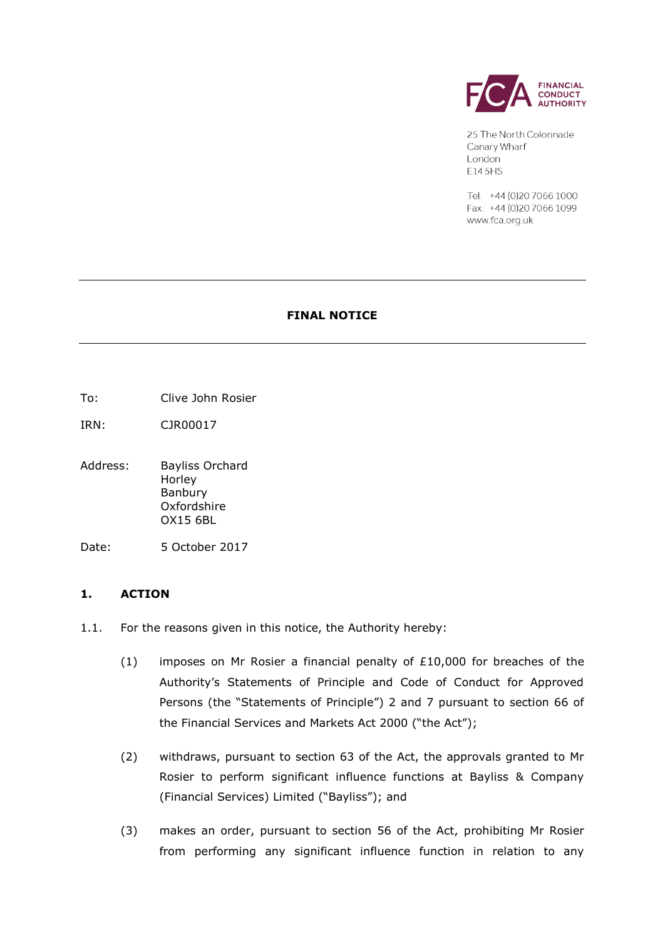

25 The North Colonnade Canary Wharf London E14 5HS

Tel: +44 (0) 20 7066 1000 Fax: +44 (0)20 7066 1099 www.fca.org.uk

### **FINAL NOTICE**

- To: Clive John Rosier
- IRN: CJR00017
- Address: Bayliss Orchard Horley Banbury Oxfordshire OX15 6BL
- Date: 5 October 2017

### **1. ACTION**

- 1.1. For the reasons given in this notice, the Authority hereby:
	- (1) imposes on Mr Rosier a financial penalty of  $£10,000$  for breaches of the Authority's Statements of Principle and Code of Conduct for Approved Persons (the "Statements of Principle") 2 and 7 pursuant to section 66 of the Financial Services and Markets Act 2000 ("the Act");
	- (2) withdraws, pursuant to section 63 of the Act, the approvals granted to Mr Rosier to perform significant influence functions at Bayliss & Company (Financial Services) Limited ("Bayliss"); and
	- (3) makes an order, pursuant to section 56 of the Act, prohibiting Mr Rosier from performing any significant influence function in relation to any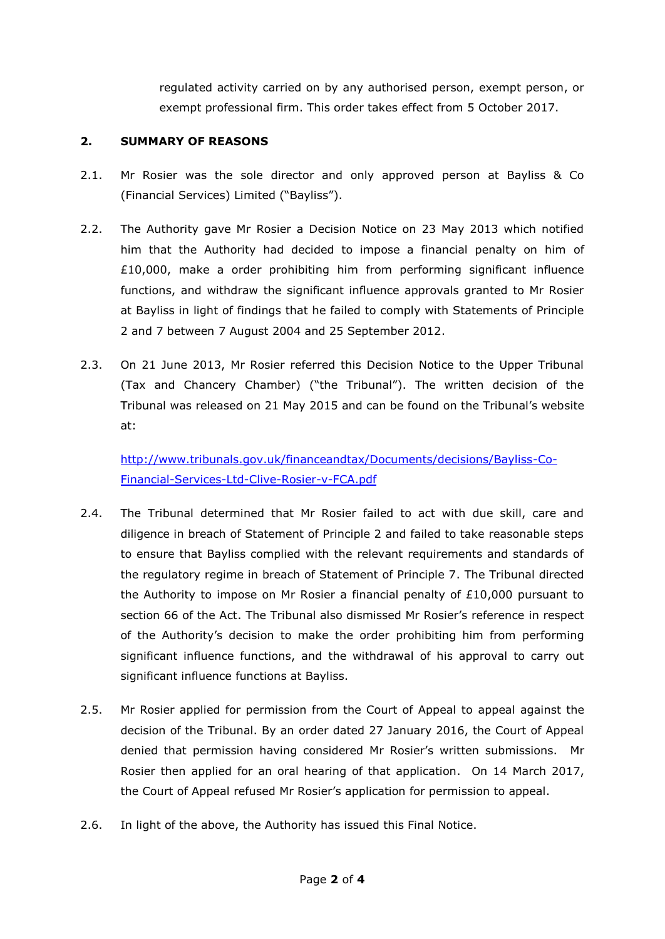regulated activity carried on by any authorised person, exempt person, or exempt professional firm. This order takes effect from 5 October 2017.

## **2. SUMMARY OF REASONS**

- 2.1. Mr Rosier was the sole director and only approved person at Bayliss & Co (Financial Services) Limited ("Bayliss").
- 2.2. The Authority gave Mr Rosier a Decision Notice on 23 May 2013 which notified him that the Authority had decided to impose a financial penalty on him of £10,000, make a order prohibiting him from performing significant influence functions, and withdraw the significant influence approvals granted to Mr Rosier at Bayliss in light of findings that he failed to comply with Statements of Principle 2 and 7 between 7 August 2004 and 25 September 2012.
- 2.3. On 21 June 2013, Mr Rosier referred this Decision Notice to the Upper Tribunal (Tax and Chancery Chamber) ("the Tribunal"). The written decision of the Tribunal was released on 21 May 2015 and can be found on the Tribunal's website at:

[http://www.tribunals.gov.uk/financeandtax/Documents/decisions/Bayliss-Co-](http://www.tribunals.gov.uk/financeandtax/Documents/decisions/Bayliss-Co-Financial-Services-Ltd-Clive-Rosier-v-FCA.pdf)[Financial-Services-Ltd-Clive-Rosier-v-FCA.pdf](http://www.tribunals.gov.uk/financeandtax/Documents/decisions/Bayliss-Co-Financial-Services-Ltd-Clive-Rosier-v-FCA.pdf)

- 2.4. The Tribunal determined that Mr Rosier failed to act with due skill, care and diligence in breach of Statement of Principle 2 and failed to take reasonable steps to ensure that Bayliss complied with the relevant requirements and standards of the regulatory regime in breach of Statement of Principle 7. The Tribunal directed the Authority to impose on Mr Rosier a financial penalty of  $£10,000$  pursuant to section 66 of the Act. The Tribunal also dismissed Mr Rosier's reference in respect of the Authority's decision to make the order prohibiting him from performing significant influence functions, and the withdrawal of his approval to carry out significant influence functions at Bayliss.
- 2.5. Mr Rosier applied for permission from the Court of Appeal to appeal against the decision of the Tribunal. By an order dated 27 January 2016, the Court of Appeal denied that permission having considered Mr Rosier's written submissions. Mr Rosier then applied for an oral hearing of that application. On 14 March 2017, the Court of Appeal refused Mr Rosier's application for permission to appeal.
- 2.6. In light of the above, the Authority has issued this Final Notice.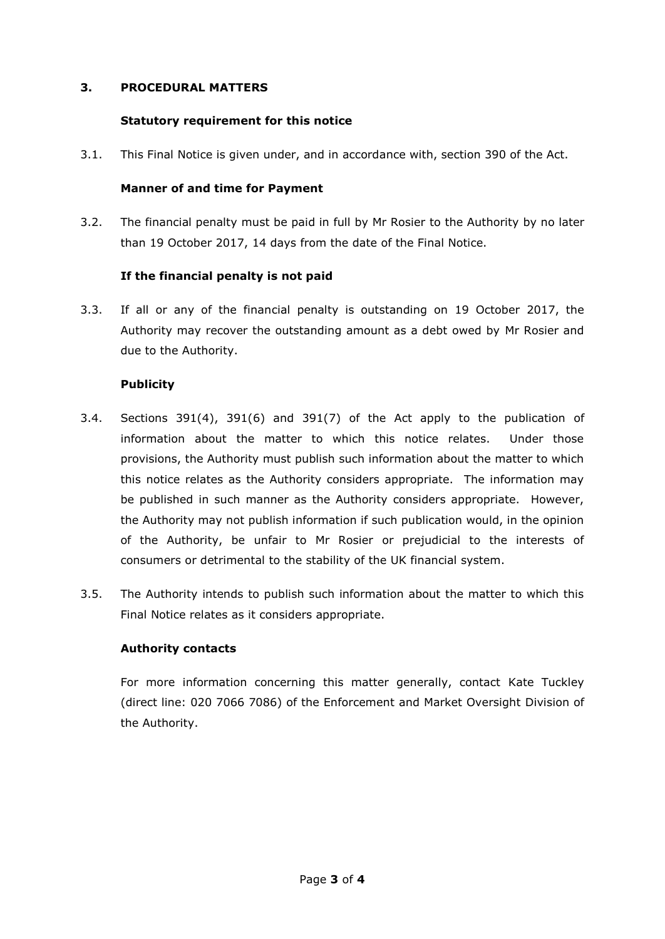## **3. PROCEDURAL MATTERS**

# **Statutory requirement for this notice**

3.1. This Final Notice is given under, and in accordance with, section 390 of the Act.

## **Manner of and time for Payment**

3.2. The financial penalty must be paid in full by Mr Rosier to the Authority by no later than 19 October 2017, 14 days from the date of the Final Notice.

# **If the financial penalty is not paid**

3.3. If all or any of the financial penalty is outstanding on 19 October 2017, the Authority may recover the outstanding amount as a debt owed by Mr Rosier and due to the Authority.

# **Publicity**

- 3.4. Sections 391(4), 391(6) and 391(7) of the Act apply to the publication of information about the matter to which this notice relates. Under those provisions, the Authority must publish such information about the matter to which this notice relates as the Authority considers appropriate. The information may be published in such manner as the Authority considers appropriate. However, the Authority may not publish information if such publication would, in the opinion of the Authority, be unfair to Mr Rosier or prejudicial to the interests of consumers or detrimental to the stability of the UK financial system.
- 3.5. The Authority intends to publish such information about the matter to which this Final Notice relates as it considers appropriate.

### **Authority contacts**

For more information concerning this matter generally, contact Kate Tuckley (direct line: 020 7066 7086) of the Enforcement and Market Oversight Division of the Authority.